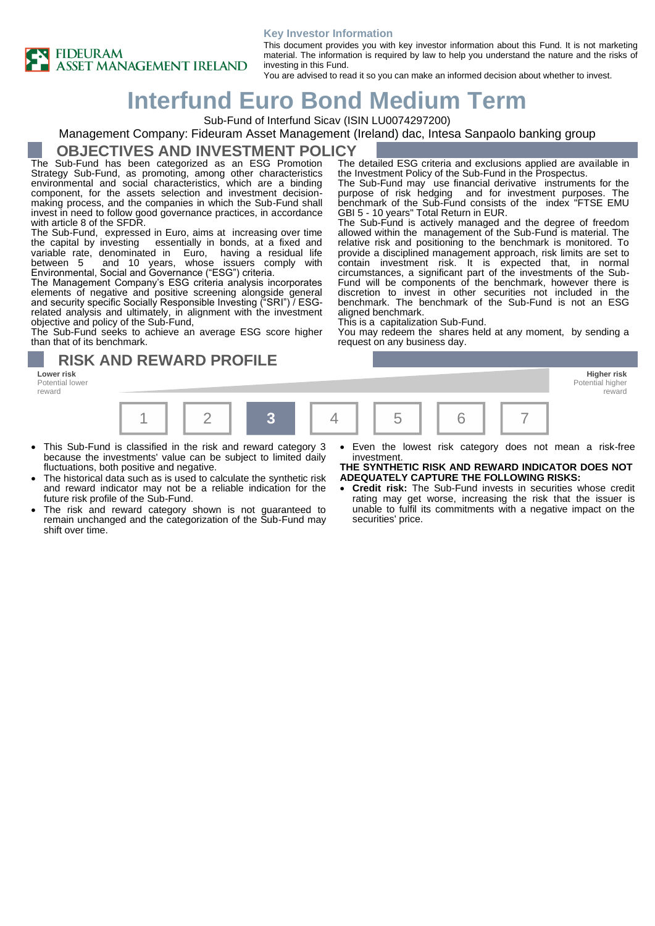



This document provides you with key investor information about this Fund. It is not marketing material. The information is required by law to help you understand the nature and the risks of investing in this Fund.

The detailed ESG criteria and exclusions applied are available in

The Sub-Fund may use financial derivative instruments for the purpose of risk hedging and for investment purposes. The benchmark of the Sub-Fund consists of the index "FTSE EMU

The Sub-Fund is actively managed and the degree of freedom allowed within the management of the Sub-Fund is material. The relative risk and positioning to the benchmark is monitored. To provide a disciplined management approach, risk limits are set to contain investment risk. It is expected that, in normal circumstances, a significant part of the investments of the Sub-Fund will be components of the benchmark, however there is discretion to invest in other securities not included in the benchmark. The benchmark of the Sub-Fund is not an ESG

You may redeem the shares held at any moment, by sending a

the Investment Policy of the Sub-Fund in the Prospectus.

You are advised to read it so you can make an informed decision about whether to invest.

GBI 5 - 10 years" Total Return in EUR.

This is a capitalization Sub-Fund.

request on any business day.

# **Interfund Euro Bond Medium Term**

Sub-Fund of Interfund Sicav (ISIN LU0074297200)

### Management Company: Fideuram Asset Management (Ireland) dac, Intesa Sanpaolo banking group

### **OBJECTIVES AND INVESTMENT POLICY**

The Sub-Fund has been categorized as an ESG Promotion Strategy Sub-Fund, as promoting, among other characteristics environmental and social characteristics, which are a binding component, for the assets selection and investment decisionmaking process, and the companies in which the Sub-Fund shall invest in need to follow good governance practices, in accordance with article 8 of the SFDR.

The Sub-Fund, expressed in Euro, aims at increasing over time the capital by investing essentially in bonds, at a fixed and essentially in bonds, at a fixed and variable rate, denominated in Euro, having a residual life between 5 and 10 years, whose issuers comply with Environmental, Social and Governance ("ESG") criteria.

The Management Company's ESG criteria analysis incorporates elements of negative and positive screening alongside general and security specific Socially Responsible Investing ("SRI") / ESGrelated analysis and ultimately, in alignment with the investment objective and policy of the Sub-Fund,

The Sub-Fund seeks to achieve an average ESG score higher than that of its benchmark.

**RISK AND REWARD PROFILE** 

**Lower risk Higher risk** Potential lower reward



aligned benchmark.

- This Sub-Fund is classified in the risk and reward category 3 because the investments' value can be subject to limited daily fluctuations, both positive and negative.
- The historical data such as is used to calculate the synthetic risk and reward indicator may not be a reliable indication for the future risk profile of the Sub-Fund.
- The risk and reward category shown is not guaranteed to remain unchanged and the categorization of the Sub-Fund may shift over time.
- Even the lowest risk category does not mean a risk-free investment.

reward

#### **THE SYNTHETIC RISK AND REWARD INDICATOR DOES NOT ADEQUATELY CAPTURE THE FOLLOWING RISKS:**

• **Credit risk:** The Sub-Fund invests in securities whose credit rating may get worse, increasing the risk that the issuer is unable to fulfil its commitments with a negative impact on the securities' price.